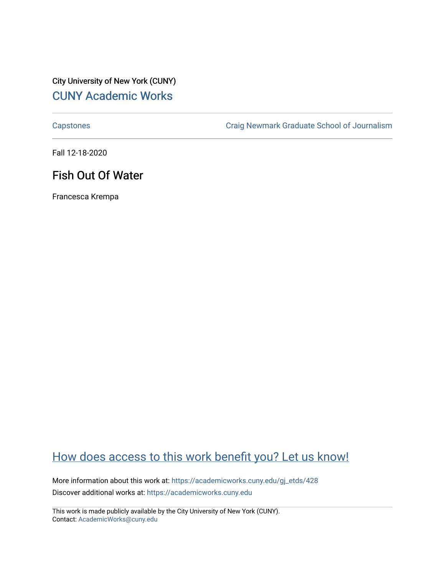## City University of New York (CUNY) [CUNY Academic Works](https://academicworks.cuny.edu/)

[Capstones](https://academicworks.cuny.edu/gj_etds) [Craig Newmark Graduate School of Journalism](https://academicworks.cuny.edu/gj) 

Fall 12-18-2020

## Fish Out Of Water

Francesca Krempa

## [How does access to this work benefit you? Let us know!](http://ols.cuny.edu/academicworks/?ref=https://academicworks.cuny.edu/gj_etds/428)

More information about this work at: [https://academicworks.cuny.edu/gj\\_etds/428](https://academicworks.cuny.edu/gj_etds/428)  Discover additional works at: [https://academicworks.cuny.edu](https://academicworks.cuny.edu/?)

This work is made publicly available by the City University of New York (CUNY). Contact: [AcademicWorks@cuny.edu](mailto:AcademicWorks@cuny.edu)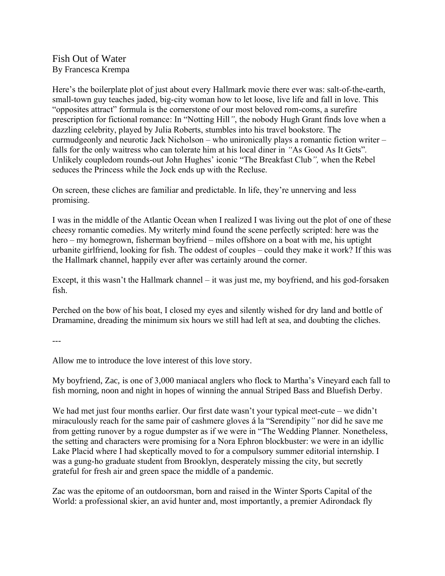Fish Out of Water By Francesca Krempa

Here's the boilerplate plot of just about every Hallmark movie there ever was: salt-of-the-earth, small-town guy teaches jaded, big-city woman how to let loose, live life and fall in love. This "opposites attract" formula is the cornerstone of our most beloved rom-coms, a surefire prescription for fictional romance: In "Notting Hill*"*, the nobody Hugh Grant finds love when a dazzling celebrity, played by Julia Roberts, stumbles into his travel bookstore. The curmudgeonly and neurotic Jack Nicholson – who unironically plays a romantic fiction writer – falls for the only waitress who can tolerate him at his local diner in *"*As Good As It Gets"*.*  Unlikely coupledom rounds-out John Hughes' iconic "The Breakfast Club*",* when the Rebel seduces the Princess while the Jock ends up with the Recluse.

On screen, these cliches are familiar and predictable. In life, they're unnerving and less promising.

I was in the middle of the Atlantic Ocean when I realized I was living out the plot of one of these cheesy romantic comedies. My writerly mind found the scene perfectly scripted: here was the hero – my homegrown, fisherman boyfriend – miles offshore on a boat with me, his uptight urbanite girlfriend, looking for fish. The oddest of couples – could they make it work? If this was the Hallmark channel, happily ever after was certainly around the corner.

Except, it this wasn't the Hallmark channel – it was just me, my boyfriend, and his god-forsaken fish.

Perched on the bow of his boat, I closed my eyes and silently wished for dry land and bottle of Dramamine, dreading the minimum six hours we still had left at sea, and doubting the cliches.

---

Allow me to introduce the love interest of this love story.

My boyfriend, Zac, is one of 3,000 maniacal anglers who flock to Martha's Vineyard each fall to fish morning, noon and night in hopes of winning the annual Striped Bass and Bluefish Derby.

We had met just four months earlier. Our first date wasn't your typical meet-cute – we didn't miraculously reach for the same pair of cashmere gloves á la "Serendipity*"* nor did he save me from getting runover by a rogue dumpster as if we were in "The Wedding Planner*.* Nonetheless, the setting and characters were promising for a Nora Ephron blockbuster: we were in an idyllic Lake Placid where I had skeptically moved to for a compulsory summer editorial internship. I was a gung-ho graduate student from Brooklyn, desperately missing the city, but secretly grateful for fresh air and green space the middle of a pandemic.

Zac was the epitome of an outdoorsman, born and raised in the Winter Sports Capital of the World: a professional skier, an avid hunter and, most importantly, a premier Adirondack fly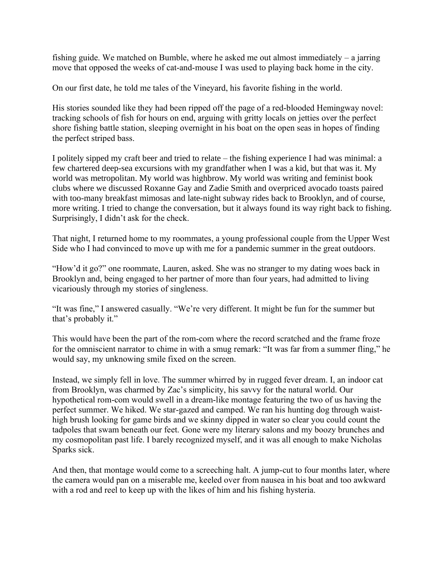fishing guide. We matched on Bumble, where he asked me out almost immediately – a jarring move that opposed the weeks of cat-and-mouse I was used to playing back home in the city.

On our first date, he told me tales of the Vineyard, his favorite fishing in the world.

His stories sounded like they had been ripped off the page of a red-blooded Hemingway novel: tracking schools of fish for hours on end, arguing with gritty locals on jetties over the perfect shore fishing battle station, sleeping overnight in his boat on the open seas in hopes of finding the perfect striped bass.

I politely sipped my craft beer and tried to relate – the fishing experience I had was minimal: a few chartered deep-sea excursions with my grandfather when I was a kid, but that was it. My world was metropolitan. My world was highbrow. My world was writing and feminist book clubs where we discussed Roxanne Gay and Zadie Smith and overpriced avocado toasts paired with too-many breakfast mimosas and late-night subway rides back to Brooklyn, and of course, more writing. I tried to change the conversation, but it always found its way right back to fishing. Surprisingly, I didn't ask for the check.

That night, I returned home to my roommates, a young professional couple from the Upper West Side who I had convinced to move up with me for a pandemic summer in the great outdoors.

"How'd it go?" one roommate, Lauren, asked. She was no stranger to my dating woes back in Brooklyn and, being engaged to her partner of more than four years, had admitted to living vicariously through my stories of singleness.

"It was fine," I answered casually. "We're very different. It might be fun for the summer but that's probably it."

This would have been the part of the rom-com where the record scratched and the frame froze for the omniscient narrator to chime in with a smug remark: "It was far from a summer fling," he would say, my unknowing smile fixed on the screen.

Instead, we simply fell in love. The summer whirred by in rugged fever dream. I, an indoor cat from Brooklyn, was charmed by Zac's simplicity, his savvy for the natural world. Our hypothetical rom-com would swell in a dream-like montage featuring the two of us having the perfect summer. We hiked. We star-gazed and camped. We ran his hunting dog through waisthigh brush looking for game birds and we skinny dipped in water so clear you could count the tadpoles that swam beneath our feet. Gone were my literary salons and my boozy brunches and my cosmopolitan past life. I barely recognized myself, and it was all enough to make Nicholas Sparks sick.

And then, that montage would come to a screeching halt. A jump-cut to four months later, where the camera would pan on a miserable me, keeled over from nausea in his boat and too awkward with a rod and reel to keep up with the likes of him and his fishing hysteria.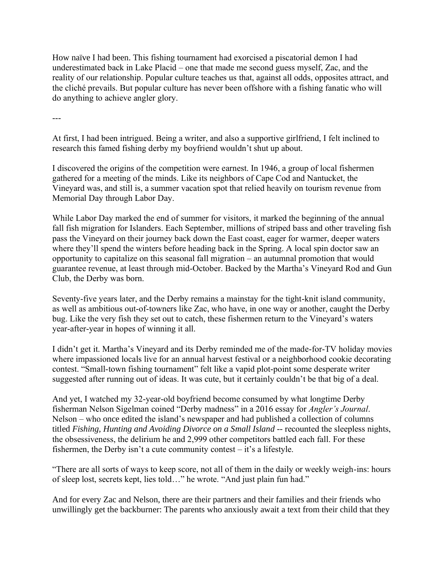How naïve I had been. This fishing tournament had exorcised a piscatorial demon I had underestimated back in Lake Placid – one that made me second guess myself, Zac, and the reality of our relationship. Popular culture teaches us that, against all odds, opposites attract, and the cliché prevails. But popular culture has never been offshore with a fishing fanatic who will do anything to achieve angler glory.

---

At first, I had been intrigued. Being a writer, and also a supportive girlfriend, I felt inclined to research this famed fishing derby my boyfriend wouldn't shut up about.

I discovered the origins of the competition were earnest. In 1946, a group of local fishermen gathered for a meeting of the minds. Like its neighbors of Cape Cod and Nantucket, the Vineyard was, and still is, a summer vacation spot that relied heavily on tourism revenue from Memorial Day through Labor Day.

While Labor Day marked the end of summer for visitors, it marked the beginning of the annual fall fish migration for Islanders. Each September, millions of striped bass and other traveling fish pass the Vineyard on their journey back down the East coast, eager for warmer, deeper waters where they'll spend the winters before heading back in the Spring. A local spin doctor saw an opportunity to capitalize on this seasonal fall migration – an autumnal promotion that would guarantee revenue, at least through mid-October. Backed by the Martha's Vineyard Rod and Gun Club, the Derby was born.

Seventy-five years later, and the Derby remains a mainstay for the tight-knit island community, as well as ambitious out-of-towners like Zac, who have, in one way or another, caught the Derby bug. Like the very fish they set out to catch, these fishermen return to the Vineyard's waters year-after-year in hopes of winning it all.

I didn't get it. Martha's Vineyard and its Derby reminded me of the made-for-TV holiday movies where impassioned locals live for an annual harvest festival or a neighborhood cookie decorating contest. "Small-town fishing tournament" felt like a vapid plot-point some desperate writer suggested after running out of ideas. It was cute, but it certainly couldn't be that big of a deal.

And yet, I watched my 32-year-old boyfriend become consumed by what longtime Derby fisherman Nelson Sigelman coined "Derby madness" in a 2016 essay for *Angler's Journal*. Nelson – who once edited the island's newspaper and had published a collection of columns titled *Fishing, Hunting and Avoiding Divorce on a Small Island --* recounted the sleepless nights, the obsessiveness, the delirium he and 2,999 other competitors battled each fall. For these fishermen, the Derby isn't a cute community contest – it's a lifestyle.

"There are all sorts of ways to keep score, not all of them in the daily or weekly weigh-ins: hours of sleep lost, secrets kept, lies told…" he wrote. "And just plain fun had."

And for every Zac and Nelson, there are their partners and their families and their friends who unwillingly get the backburner: The parents who anxiously await a text from their child that they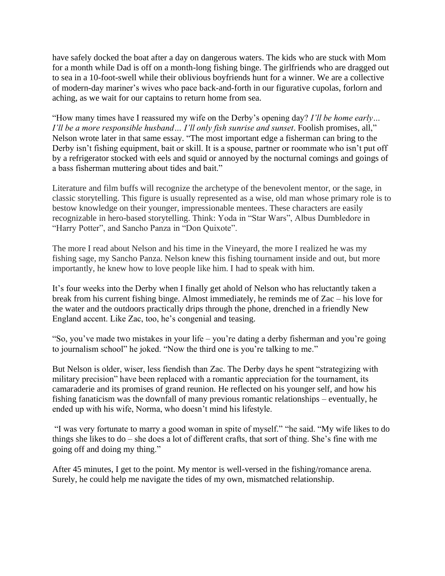have safely docked the boat after a day on dangerous waters. The kids who are stuck with Mom for a month while Dad is off on a month-long fishing binge. The girlfriends who are dragged out to sea in a 10-foot-swell while their oblivious boyfriends hunt for a winner. We are a collective of modern-day mariner's wives who pace back-and-forth in our figurative cupolas, forlorn and aching, as we wait for our captains to return home from sea.

"How many times have I reassured my wife on the Derby's opening day? *I'll be home early… I'll be a more responsible husband… I'll only fish sunrise and sunset*. Foolish promises, all," Nelson wrote later in that same essay. "The most important edge a fisherman can bring to the Derby isn't fishing equipment, bait or skill. It is a spouse, partner or roommate who isn't put off by a refrigerator stocked with eels and squid or annoyed by the nocturnal comings and goings of a bass fisherman muttering about tides and bait."

Literature and film buffs will recognize the archetype of the benevolent mentor, or the sage, in classic storytelling. This figure is usually represented as a wise, old man whose primary role is to bestow knowledge on their younger, impressionable mentees. These characters are easily recognizable in hero-based storytelling. Think: Yoda in "Star Wars", Albus Dumbledore in "Harry Potter", and Sancho Panza in "Don Quixote".

The more I read about Nelson and his time in the Vineyard, the more I realized he was my fishing sage, my Sancho Panza. Nelson knew this fishing tournament inside and out, but more importantly, he knew how to love people like him. I had to speak with him.

It's four weeks into the Derby when I finally get ahold of Nelson who has reluctantly taken a break from his current fishing binge. Almost immediately, he reminds me of Zac – his love for the water and the outdoors practically drips through the phone, drenched in a friendly New England accent. Like Zac, too, he's congenial and teasing.

"So, you've made two mistakes in your life – you're dating a derby fisherman and you're going to journalism school" he joked. "Now the third one is you're talking to me."

But Nelson is older, wiser, less fiendish than Zac. The Derby days he spent "strategizing with military precision" have been replaced with a romantic appreciation for the tournament, its camaraderie and its promises of grand reunion. He reflected on his younger self, and how his fishing fanaticism was the downfall of many previous romantic relationships – eventually, he ended up with his wife, Norma, who doesn't mind his lifestyle.

"I was very fortunate to marry a good woman in spite of myself." "he said. "My wife likes to do things she likes to do – she does a lot of different crafts, that sort of thing. She's fine with me going off and doing my thing."

After 45 minutes, I get to the point. My mentor is well-versed in the fishing/romance arena. Surely, he could help me navigate the tides of my own, mismatched relationship.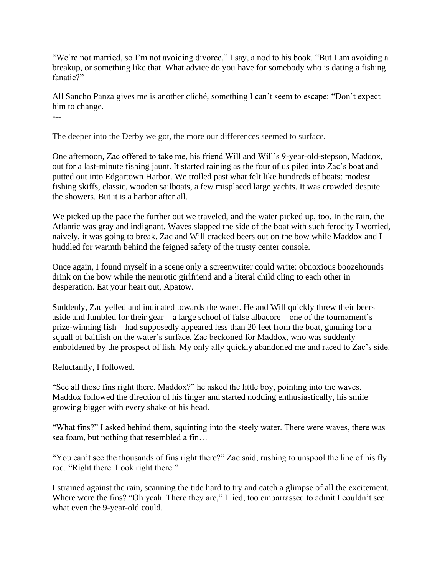"We're not married, so I'm not avoiding divorce," I say, a nod to his book. "But I am avoiding a breakup, or something like that. What advice do you have for somebody who is dating a fishing fanatic?"

All Sancho Panza gives me is another cliché, something I can't seem to escape: "Don't expect him to change. ---

The deeper into the Derby we got, the more our differences seemed to surface.

One afternoon, Zac offered to take me, his friend Will and Will's 9-year-old-stepson, Maddox, out for a last-minute fishing jaunt. It started raining as the four of us piled into Zac's boat and putted out into Edgartown Harbor. We trolled past what felt like hundreds of boats: modest fishing skiffs, classic, wooden sailboats, a few misplaced large yachts. It was crowded despite the showers. But it is a harbor after all.

We picked up the pace the further out we traveled, and the water picked up, too. In the rain, the Atlantic was gray and indignant. Waves slapped the side of the boat with such ferocity I worried, naively, it was going to break. Zac and Will cracked beers out on the bow while Maddox and I huddled for warmth behind the feigned safety of the trusty center console.

Once again, I found myself in a scene only a screenwriter could write: obnoxious boozehounds drink on the bow while the neurotic girlfriend and a literal child cling to each other in desperation. Eat your heart out, Apatow.

Suddenly, Zac yelled and indicated towards the water. He and Will quickly threw their beers aside and fumbled for their gear – a large school of false albacore – one of the tournament's prize-winning fish – had supposedly appeared less than 20 feet from the boat, gunning for a squall of baitfish on the water's surface. Zac beckoned for Maddox, who was suddenly emboldened by the prospect of fish. My only ally quickly abandoned me and raced to Zac's side.

Reluctantly, I followed.

"See all those fins right there, Maddox?" he asked the little boy, pointing into the waves. Maddox followed the direction of his finger and started nodding enthusiastically, his smile growing bigger with every shake of his head.

"What fins?" I asked behind them, squinting into the steely water. There were waves, there was sea foam, but nothing that resembled a fin…

"You can't see the thousands of fins right there?" Zac said, rushing to unspool the line of his fly rod. "Right there. Look right there."

I strained against the rain, scanning the tide hard to try and catch a glimpse of all the excitement. Where were the fins? "Oh yeah. There they are," I lied, too embarrassed to admit I couldn't see what even the 9-year-old could.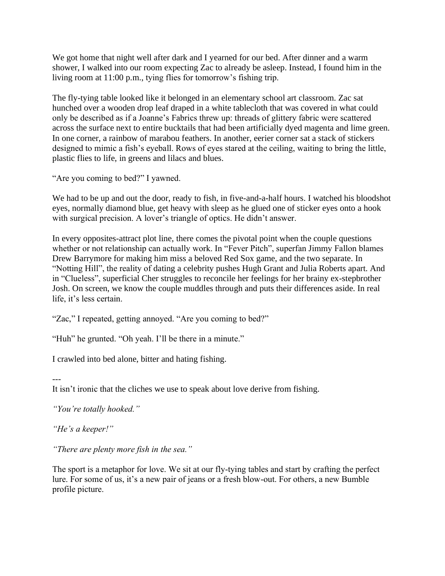We got home that night well after dark and I yearned for our bed. After dinner and a warm shower, I walked into our room expecting Zac to already be asleep. Instead, I found him in the living room at 11:00 p.m., tying flies for tomorrow's fishing trip.

The fly-tying table looked like it belonged in an elementary school art classroom. Zac sat hunched over a wooden drop leaf draped in a white tablecloth that was covered in what could only be described as if a Joanne's Fabrics threw up: threads of glittery fabric were scattered across the surface next to entire bucktails that had been artificially dyed magenta and lime green. In one corner, a rainbow of marabou feathers. In another, eerier corner sat a stack of stickers designed to mimic a fish's eyeball. Rows of eyes stared at the ceiling, waiting to bring the little, plastic flies to life, in greens and lilacs and blues.

"Are you coming to bed?" I yawned.

We had to be up and out the door, ready to fish, in five-and-a-half hours. I watched his bloodshot eyes, normally diamond blue, get heavy with sleep as he glued one of sticker eyes onto a hook with surgical precision. A lover's triangle of optics. He didn't answer.

In every opposites-attract plot line, there comes the pivotal point when the couple questions whether or not relationship can actually work. In "Fever Pitch", superfan Jimmy Fallon blames Drew Barrymore for making him miss a beloved Red Sox game, and the two separate. In "Notting Hill", the reality of dating a celebrity pushes Hugh Grant and Julia Roberts apart. And in "Clueless", superficial Cher struggles to reconcile her feelings for her brainy ex-stepbrother Josh. On screen, we know the couple muddles through and puts their differences aside. In real life, it's less certain.

"Zac," I repeated, getting annoyed. "Are you coming to bed?"

"Huh" he grunted. "Oh yeah. I'll be there in a minute."

I crawled into bed alone, bitter and hating fishing.

---

It isn't ironic that the cliches we use to speak about love derive from fishing.

*"You're totally hooked."*

*"He's a keeper!"*

*"There are plenty more fish in the sea."*

The sport is a metaphor for love. We sit at our fly-tying tables and start by crafting the perfect lure. For some of us, it's a new pair of jeans or a fresh blow-out. For others, a new Bumble profile picture.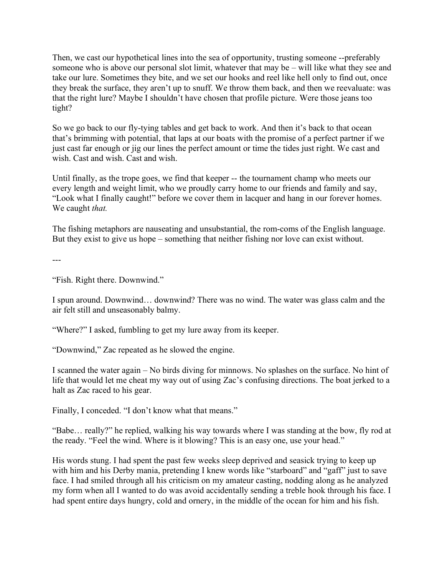Then, we cast our hypothetical lines into the sea of opportunity, trusting someone --preferably someone who is above our personal slot limit, whatever that may be – will like what they see and take our lure. Sometimes they bite, and we set our hooks and reel like hell only to find out, once they break the surface, they aren't up to snuff. We throw them back, and then we reevaluate: was that the right lure? Maybe I shouldn't have chosen that profile picture. Were those jeans too tight?

So we go back to our fly-tying tables and get back to work. And then it's back to that ocean that's brimming with potential, that laps at our boats with the promise of a perfect partner if we just cast far enough or jig our lines the perfect amount or time the tides just right. We cast and wish. Cast and wish. Cast and wish.

Until finally, as the trope goes, we find that keeper -- the tournament champ who meets our every length and weight limit, who we proudly carry home to our friends and family and say, "Look what I finally caught!" before we cover them in lacquer and hang in our forever homes. We caught *that.* 

The fishing metaphors are nauseating and unsubstantial, the rom-coms of the English language. But they exist to give us hope – something that neither fishing nor love can exist without.

---

"Fish. Right there. Downwind."

I spun around. Downwind… downwind? There was no wind. The water was glass calm and the air felt still and unseasonably balmy.

"Where?" I asked, fumbling to get my lure away from its keeper.

"Downwind," Zac repeated as he slowed the engine.

I scanned the water again – No birds diving for minnows. No splashes on the surface. No hint of life that would let me cheat my way out of using Zac's confusing directions. The boat jerked to a halt as Zac raced to his gear.

Finally, I conceded. "I don't know what that means."

"Babe… really?" he replied, walking his way towards where I was standing at the bow, fly rod at the ready. "Feel the wind. Where is it blowing? This is an easy one, use your head."

His words stung. I had spent the past few weeks sleep deprived and seasick trying to keep up with him and his Derby mania, pretending I knew words like "starboard" and "gaff" just to save face. I had smiled through all his criticism on my amateur casting, nodding along as he analyzed my form when all I wanted to do was avoid accidentally sending a treble hook through his face. I had spent entire days hungry, cold and ornery, in the middle of the ocean for him and his fish.